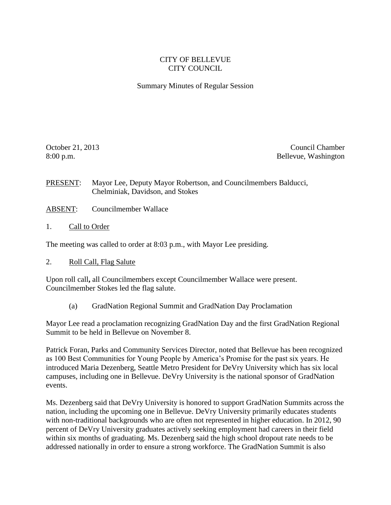## CITY OF BELLEVUE CITY COUNCIL

Summary Minutes of Regular Session

October 21, 2013 Council Chamber 8:00 p.m. Bellevue, Washington

PRESENT: Mayor Lee, Deputy Mayor Robertson, and Councilmembers Balducci, Chelminiak, Davidson, and Stokes

- ABSENT: Councilmember Wallace
- 1. Call to Order

The meeting was called to order at 8:03 p.m., with Mayor Lee presiding.

2. Roll Call, Flag Salute

Upon roll call**,** all Councilmembers except Councilmember Wallace were present. Councilmember Stokes led the flag salute.

(a) GradNation Regional Summit and GradNation Day Proclamation

Mayor Lee read a proclamation recognizing GradNation Day and the first GradNation Regional Summit to be held in Bellevue on November 8.

Patrick Foran, Parks and Community Services Director, noted that Bellevue has been recognized as 100 Best Communities for Young People by America's Promise for the past six years. He introduced Maria Dezenberg, Seattle Metro President for DeVry University which has six local campuses, including one in Bellevue. DeVry University is the national sponsor of GradNation events.

Ms. Dezenberg said that DeVry University is honored to support GradNation Summits across the nation, including the upcoming one in Bellevue. DeVry University primarily educates students with non-traditional backgrounds who are often not represented in higher education. In 2012, 90 percent of DeVry University graduates actively seeking employment had careers in their field within six months of graduating. Ms. Dezenberg said the high school dropout rate needs to be addressed nationally in order to ensure a strong workforce. The GradNation Summit is also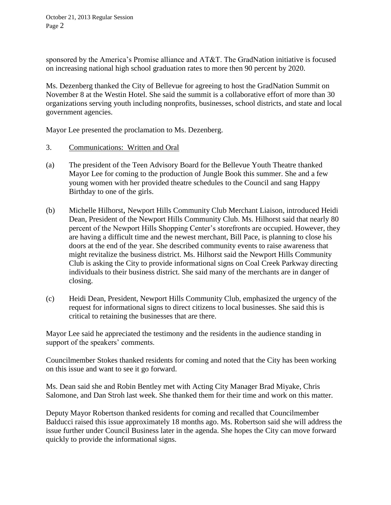sponsored by the America's Promise alliance and AT&T. The GradNation initiative is focused on increasing national high school graduation rates to more then 90 percent by 2020.

Ms. Dezenberg thanked the City of Bellevue for agreeing to host the GradNation Summit on November 8 at the Westin Hotel. She said the summit is a collaborative effort of more than 30 organizations serving youth including nonprofits, businesses, school districts, and state and local government agencies.

Mayor Lee presented the proclamation to Ms. Dezenberg.

- 3. Communications: Written and Oral
- (a) The president of the Teen Advisory Board for the Bellevue Youth Theatre thanked Mayor Lee for coming to the production of Jungle Book this summer. She and a few young women with her provided theatre schedules to the Council and sang Happy Birthday to one of the girls.
- (b) Michelle Hilhorst, Newport Hills Community Club Merchant Liaison, introduced Heidi Dean, President of the Newport Hills Community Club. Ms. Hilhorst said that nearly 80 percent of the Newport Hills Shopping Center's storefronts are occupied. However, they are having a difficult time and the newest merchant, Bill Pace, is planning to close his doors at the end of the year. She described community events to raise awareness that might revitalize the business district. Ms. Hilhorst said the Newport Hills Community Club is asking the City to provide informational signs on Coal Creek Parkway directing individuals to their business district. She said many of the merchants are in danger of closing.
- (c) Heidi Dean, President, Newport Hills Community Club, emphasized the urgency of the request for informational signs to direct citizens to local businesses. She said this is critical to retaining the businesses that are there.

Mayor Lee said he appreciated the testimony and the residents in the audience standing in support of the speakers' comments.

Councilmember Stokes thanked residents for coming and noted that the City has been working on this issue and want to see it go forward.

Ms. Dean said she and Robin Bentley met with Acting City Manager Brad Miyake, Chris Salomone, and Dan Stroh last week. She thanked them for their time and work on this matter.

Deputy Mayor Robertson thanked residents for coming and recalled that Councilmember Balducci raised this issue approximately 18 months ago. Ms. Robertson said she will address the issue further under Council Business later in the agenda. She hopes the City can move forward quickly to provide the informational signs.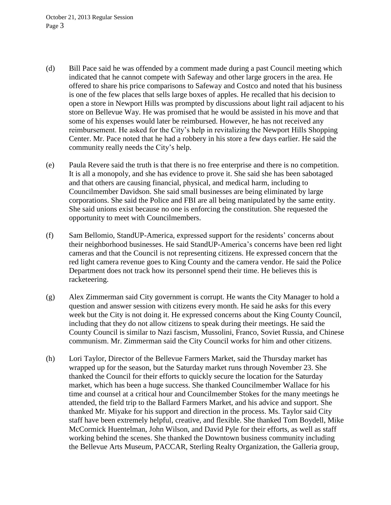October 21, 2013 Regular Session Page 3

- (d) Bill Pace said he was offended by a comment made during a past Council meeting which indicated that he cannot compete with Safeway and other large grocers in the area. He offered to share his price comparisons to Safeway and Costco and noted that his business is one of the few places that sells large boxes of apples. He recalled that his decision to open a store in Newport Hills was prompted by discussions about light rail adjacent to his store on Bellevue Way. He was promised that he would be assisted in his move and that some of his expenses would later be reimbursed. However, he has not received any reimbursement. He asked for the City's help in revitalizing the Newport Hills Shopping Center. Mr. Pace noted that he had a robbery in his store a few days earlier. He said the community really needs the City's help.
- (e) Paula Revere said the truth is that there is no free enterprise and there is no competition. It is all a monopoly, and she has evidence to prove it. She said she has been sabotaged and that others are causing financial, physical, and medical harm, including to Councilmember Davidson. She said small businesses are being eliminated by large corporations. She said the Police and FBI are all being manipulated by the same entity. She said unions exist because no one is enforcing the constitution. She requested the opportunity to meet with Councilmembers.
- (f) Sam Bellomio, StandUP-America, expressed support for the residents' concerns about their neighborhood businesses. He said StandUP-America's concerns have been red light cameras and that the Council is not representing citizens. He expressed concern that the red light camera revenue goes to King County and the camera vendor. He said the Police Department does not track how its personnel spend their time. He believes this is racketeering.
- (g) Alex Zimmerman said City government is corrupt. He wants the City Manager to hold a question and answer session with citizens every month. He said he asks for this every week but the City is not doing it. He expressed concerns about the King County Council, including that they do not allow citizens to speak during their meetings. He said the County Council is similar to Nazi fascism, Mussolini, Franco, Soviet Russia, and Chinese communism. Mr. Zimmerman said the City Council works for him and other citizens.
- (h) Lori Taylor, Director of the Bellevue Farmers Market, said the Thursday market has wrapped up for the season, but the Saturday market runs through November 23. She thanked the Council for their efforts to quickly secure the location for the Saturday market, which has been a huge success. She thanked Councilmember Wallace for his time and counsel at a critical hour and Councilmember Stokes for the many meetings he attended, the field trip to the Ballard Farmers Market, and his advice and support. She thanked Mr. Miyake for his support and direction in the process. Ms. Taylor said City staff have been extremely helpful, creative, and flexible. She thanked Tom Boydell, Mike McCormick Huentelman, John Wilson, and David Pyle for their efforts, as well as staff working behind the scenes. She thanked the Downtown business community including the Bellevue Arts Museum, PACCAR, Sterling Realty Organization, the Galleria group,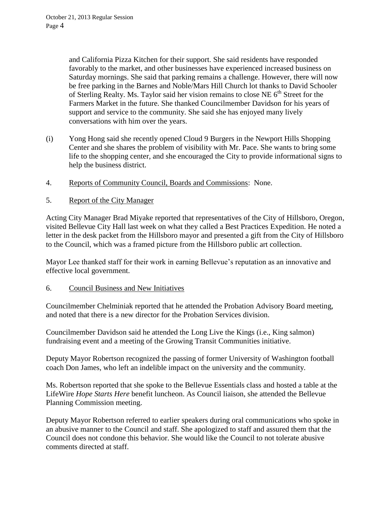and California Pizza Kitchen for their support. She said residents have responded favorably to the market, and other businesses have experienced increased business on Saturday mornings. She said that parking remains a challenge. However, there will now be free parking in the Barnes and Noble/Mars Hill Church lot thanks to David Schooler of Sterling Realty. Ms. Taylor said her vision remains to close NE  $6<sup>th</sup>$  Street for the Farmers Market in the future. She thanked Councilmember Davidson for his years of support and service to the community. She said she has enjoyed many lively conversations with him over the years.

- (i) Yong Hong said she recently opened Cloud 9 Burgers in the Newport Hills Shopping Center and she shares the problem of visibility with Mr. Pace. She wants to bring some life to the shopping center, and she encouraged the City to provide informational signs to help the business district.
- 4. Reports of Community Council, Boards and Commissions: None.
- 5. Report of the City Manager

Acting City Manager Brad Miyake reported that representatives of the City of Hillsboro, Oregon, visited Bellevue City Hall last week on what they called a Best Practices Expedition. He noted a letter in the desk packet from the Hillsboro mayor and presented a gift from the City of Hillsboro to the Council, which was a framed picture from the Hillsboro public art collection.

Mayor Lee thanked staff for their work in earning Bellevue's reputation as an innovative and effective local government.

## 6. Council Business and New Initiatives

Councilmember Chelminiak reported that he attended the Probation Advisory Board meeting, and noted that there is a new director for the Probation Services division.

Councilmember Davidson said he attended the Long Live the Kings (i.e., King salmon) fundraising event and a meeting of the Growing Transit Communities initiative.

Deputy Mayor Robertson recognized the passing of former University of Washington football coach Don James, who left an indelible impact on the university and the community.

Ms. Robertson reported that she spoke to the Bellevue Essentials class and hosted a table at the LifeWire *Hope Starts Here* benefit luncheon. As Council liaison, she attended the Bellevue Planning Commission meeting.

Deputy Mayor Robertson referred to earlier speakers during oral communications who spoke in an abusive manner to the Council and staff. She apologized to staff and assured them that the Council does not condone this behavior. She would like the Council to not tolerate abusive comments directed at staff.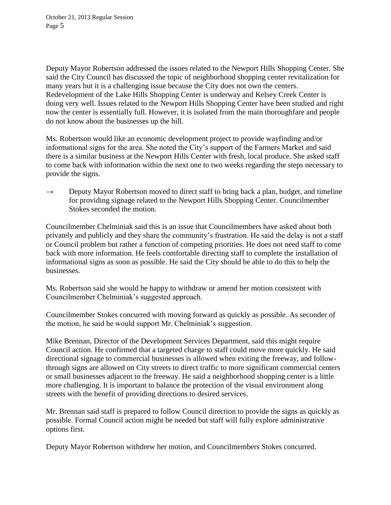Deputy Mayor Robertson addressed the issues related to the Newport Hills Shopping Center. She said the City Council has discussed the topic of neighborhood shopping center revitalization for many years but it is a challenging issue because the City does not own the centers. Redevelopment of the Lake Hills Shopping Center is underway and Kelsey Creek Center is doing very well. Issues related to the Newport Hills Shopping Center have been studied and right now the center is essentially full. However, it is isolated from the main thoroughfare and people do not know about the businesses up the hill.

Ms. Robertson would like an economic development project to provide wayfinding and/or informational signs for the area. She noted the City's support of the Farmers Market and said there is a similar business at the Newport Hills Center with fresh, local produce. She asked staff to come back with information within the next one to two weeks regarding the steps necessary to provide the signs.

 $\rightarrow$  Deputy Mayor Robertson moved to direct staff to bring back a plan, budget, and timeline for providing signage related to the Newport Hills Shopping Center. Councilmember Stokes seconded the motion.

Councilmember Chelminiak said this is an issue that Councilmembers have asked about both privately and publicly and they share the community's frustration. He said the delay is not a staff or Council problem but rather a function of competing priorities. He does not need staff to come back with more information. He feels comfortable directing staff to complete the installation of informational signs as soon as possible. He said the City should be able to do this to help the businesses.

Ms. Robertson said she would be happy to withdraw or amend her motion consistent with Councilmember Chelminiak's suggested approach.

Councilmember Stokes concurred with moving forward as quickly as possible. As seconder of the motion, he said he would support Mr. Chelminiak's suggestion.

Mike Brennan, Director of the Development Services Department, said this might require Council action. He confirmed that a targeted charge to staff could move more quickly. He said directional signage to commercial businesses is allowed when exiting the freeway, and followthrough signs are allowed on City streets to direct traffic to more significant commercial centers or small businesses adjacent to the freeway. He said a neighborhood shopping center is a little more challenging. It is important to balance the protection of the visual environment along streets with the benefit of providing directions to desired services.

Mr. Brennan said staff is prepared to follow Council direction to provide the signs as quickly as possible. Formal Council action might be needed but staff will fully explore administrative options first.

Deputy Mayor Robertson withdrew her motion, and Councilmembers Stokes concurred.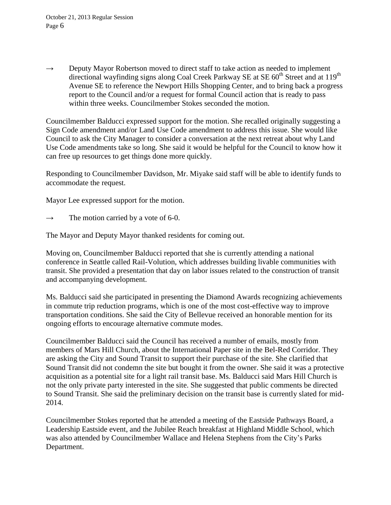$\rightarrow$  Deputy Mayor Robertson moved to direct staff to take action as needed to implement directional wayfinding signs along Coal Creek Parkway SE at SE 60<sup>th</sup> Street and at 119<sup>th</sup> Avenue SE to reference the Newport Hills Shopping Center, and to bring back a progress report to the Council and/or a request for formal Council action that is ready to pass within three weeks. Councilmember Stokes seconded the motion.

Councilmember Balducci expressed support for the motion. She recalled originally suggesting a Sign Code amendment and/or Land Use Code amendment to address this issue. She would like Council to ask the City Manager to consider a conversation at the next retreat about why Land Use Code amendments take so long. She said it would be helpful for the Council to know how it can free up resources to get things done more quickly.

Responding to Councilmember Davidson, Mr. Miyake said staff will be able to identify funds to accommodate the request.

Mayor Lee expressed support for the motion.

 $\rightarrow$  The motion carried by a vote of 6-0.

The Mayor and Deputy Mayor thanked residents for coming out.

Moving on, Councilmember Balducci reported that she is currently attending a national conference in Seattle called Rail-Volution, which addresses building livable communities with transit. She provided a presentation that day on labor issues related to the construction of transit and accompanying development.

Ms. Balducci said she participated in presenting the Diamond Awards recognizing achievements in commute trip reduction programs, which is one of the most cost-effective way to improve transportation conditions. She said the City of Bellevue received an honorable mention for its ongoing efforts to encourage alternative commute modes.

Councilmember Balducci said the Council has received a number of emails, mostly from members of Mars Hill Church, about the International Paper site in the Bel-Red Corridor. They are asking the City and Sound Transit to support their purchase of the site. She clarified that Sound Transit did not condemn the site but bought it from the owner. She said it was a protective acquisition as a potential site for a light rail transit base. Ms. Balducci said Mars Hill Church is not the only private party interested in the site. She suggested that public comments be directed to Sound Transit. She said the preliminary decision on the transit base is currently slated for mid-2014.

Councilmember Stokes reported that he attended a meeting of the Eastside Pathways Board, a Leadership Eastside event, and the Jubilee Reach breakfast at Highland Middle School, which was also attended by Councilmember Wallace and Helena Stephens from the City's Parks Department.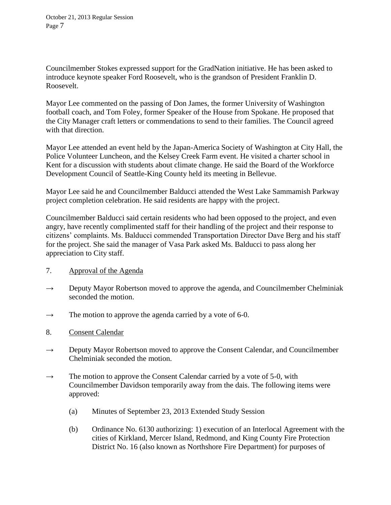Councilmember Stokes expressed support for the GradNation initiative. He has been asked to introduce keynote speaker Ford Roosevelt, who is the grandson of President Franklin D. Roosevelt.

Mayor Lee commented on the passing of Don James, the former University of Washington football coach, and Tom Foley, former Speaker of the House from Spokane. He proposed that the City Manager craft letters or commendations to send to their families. The Council agreed with that direction.

Mayor Lee attended an event held by the Japan-America Society of Washington at City Hall, the Police Volunteer Luncheon, and the Kelsey Creek Farm event. He visited a charter school in Kent for a discussion with students about climate change. He said the Board of the Workforce Development Council of Seattle-King County held its meeting in Bellevue.

Mayor Lee said he and Councilmember Balducci attended the West Lake Sammamish Parkway project completion celebration. He said residents are happy with the project.

Councilmember Balducci said certain residents who had been opposed to the project, and even angry, have recently complimented staff for their handling of the project and their response to citizens' complaints. Ms. Balducci commended Transportation Director Dave Berg and his staff for the project. She said the manager of Vasa Park asked Ms. Balducci to pass along her appreciation to City staff.

- 7. Approval of the Agenda
- $\rightarrow$  Deputy Mayor Robertson moved to approve the agenda, and Councilmember Chelminiak seconded the motion.
- $\rightarrow$  The motion to approve the agenda carried by a vote of 6-0.
- 8. Consent Calendar
- $\rightarrow$  Deputy Mayor Robertson moved to approve the Consent Calendar, and Councilmember Chelminiak seconded the motion.
- $\rightarrow$  The motion to approve the Consent Calendar carried by a vote of 5-0, with Councilmember Davidson temporarily away from the dais. The following items were approved:
	- (a) Minutes of September 23, 2013 Extended Study Session
	- (b) Ordinance No. 6130 authorizing: 1) execution of an Interlocal Agreement with the cities of Kirkland, Mercer Island, Redmond, and King County Fire Protection District No. 16 (also known as Northshore Fire Department) for purposes of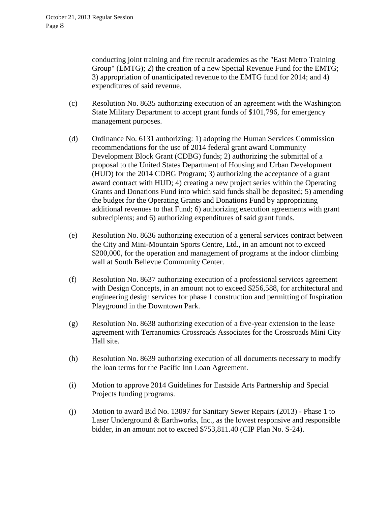conducting joint training and fire recruit academies as the "East Metro Training Group" (EMTG); 2) the creation of a new Special Revenue Fund for the EMTG; 3) appropriation of unanticipated revenue to the EMTG fund for 2014; and 4) expenditures of said revenue.

- (c) Resolution No. 8635 authorizing execution of an agreement with the Washington State Military Department to accept grant funds of \$101,796, for emergency management purposes.
- (d) Ordinance No. 6131 authorizing: 1) adopting the Human Services Commission recommendations for the use of 2014 federal grant award Community Development Block Grant (CDBG) funds; 2) authorizing the submittal of a proposal to the United States Department of Housing and Urban Development (HUD) for the 2014 CDBG Program; 3) authorizing the acceptance of a grant award contract with HUD; 4) creating a new project series within the Operating Grants and Donations Fund into which said funds shall be deposited; 5) amending the budget for the Operating Grants and Donations Fund by appropriating additional revenues to that Fund; 6) authorizing execution agreements with grant subrecipients; and 6) authorizing expenditures of said grant funds.
- (e) Resolution No. 8636 authorizing execution of a general services contract between the City and Mini-Mountain Sports Centre, Ltd., in an amount not to exceed \$200,000, for the operation and management of programs at the indoor climbing wall at South Bellevue Community Center.
- (f) Resolution No. 8637 authorizing execution of a professional services agreement with Design Concepts, in an amount not to exceed \$256,588, for architectural and engineering design services for phase 1 construction and permitting of Inspiration Playground in the Downtown Park.
- (g) Resolution No. 8638 authorizing execution of a five-year extension to the lease agreement with Terranomics Crossroads Associates for the Crossroads Mini City Hall site.
- (h) Resolution No. 8639 authorizing execution of all documents necessary to modify the loan terms for the Pacific Inn Loan Agreement.
- (i) Motion to approve 2014 Guidelines for Eastside Arts Partnership and Special Projects funding programs.
- (j) Motion to award Bid No. 13097 for Sanitary Sewer Repairs (2013) Phase 1 to Laser Underground & Earthworks, Inc., as the lowest responsive and responsible bidder, in an amount not to exceed \$753,811.40 (CIP Plan No. S-24).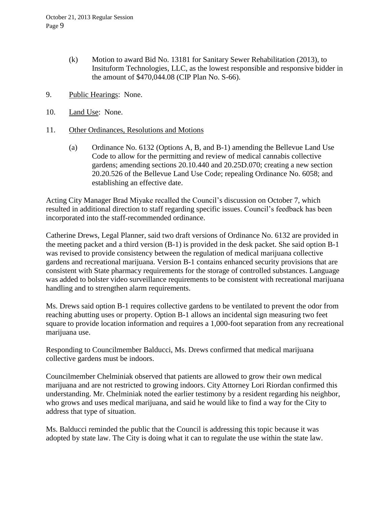- (k) Motion to award Bid No. 13181 for Sanitary Sewer Rehabilitation (2013), to Insituform Technologies, LLC, as the lowest responsible and responsive bidder in the amount of \$470,044.08 (CIP Plan No. S-66).
- 9. Public Hearings: None.
- 10. Land Use: None.
- 11. Other Ordinances, Resolutions and Motions
	- (a) Ordinance No. 6132 (Options A, B, and B-1) amending the Bellevue Land Use Code to allow for the permitting and review of medical cannabis collective gardens; amending sections 20.10.440 and 20.25D.070; creating a new section 20.20.526 of the Bellevue Land Use Code; repealing Ordinance No. 6058; and establishing an effective date.

Acting City Manager Brad Miyake recalled the Council's discussion on October 7, which resulted in additional direction to staff regarding specific issues. Council's feedback has been incorporated into the staff-recommended ordinance.

Catherine Drews, Legal Planner, said two draft versions of Ordinance No. 6132 are provided in the meeting packet and a third version (B-1) is provided in the desk packet. She said option B-1 was revised to provide consistency between the regulation of medical marijuana collective gardens and recreational marijuana. Version B-1 contains enhanced security provisions that are consistent with State pharmacy requirements for the storage of controlled substances. Language was added to bolster video surveillance requirements to be consistent with recreational marijuana handling and to strengthen alarm requirements.

Ms. Drews said option B-1 requires collective gardens to be ventilated to prevent the odor from reaching abutting uses or property. Option B-1 allows an incidental sign measuring two feet square to provide location information and requires a 1,000-foot separation from any recreational marijuana use.

Responding to Councilmember Balducci, Ms. Drews confirmed that medical marijuana collective gardens must be indoors.

Councilmember Chelminiak observed that patients are allowed to grow their own medical marijuana and are not restricted to growing indoors. City Attorney Lori Riordan confirmed this understanding. Mr. Chelminiak noted the earlier testimony by a resident regarding his neighbor, who grows and uses medical marijuana, and said he would like to find a way for the City to address that type of situation.

Ms. Balducci reminded the public that the Council is addressing this topic because it was adopted by state law. The City is doing what it can to regulate the use within the state law.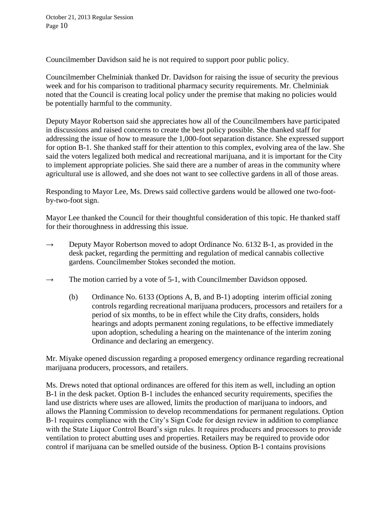Councilmember Davidson said he is not required to support poor public policy.

Councilmember Chelminiak thanked Dr. Davidson for raising the issue of security the previous week and for his comparison to traditional pharmacy security requirements. Mr. Chelminiak noted that the Council is creating local policy under the premise that making no policies would be potentially harmful to the community.

Deputy Mayor Robertson said she appreciates how all of the Councilmembers have participated in discussions and raised concerns to create the best policy possible. She thanked staff for addressing the issue of how to measure the 1,000-foot separation distance. She expressed support for option B-1. She thanked staff for their attention to this complex, evolving area of the law. She said the voters legalized both medical and recreational marijuana, and it is important for the City to implement appropriate policies. She said there are a number of areas in the community where agricultural use is allowed, and she does not want to see collective gardens in all of those areas.

Responding to Mayor Lee, Ms. Drews said collective gardens would be allowed one two-footby-two-foot sign.

Mayor Lee thanked the Council for their thoughtful consideration of this topic. He thanked staff for their thoroughness in addressing this issue.

- $\rightarrow$  Deputy Mayor Robertson moved to adopt Ordinance No. 6132 B-1, as provided in the desk packet, regarding the permitting and regulation of medical cannabis collective gardens. Councilmember Stokes seconded the motion.
- $\rightarrow$  The motion carried by a vote of 5-1, with Councilmember Davidson opposed.
	- (b) Ordinance No. 6133 (Options A, B, and B-1) adopting interim official zoning controls regarding recreational marijuana producers, processors and retailers for a period of six months, to be in effect while the City drafts, considers, holds hearings and adopts permanent zoning regulations, to be effective immediately upon adoption, scheduling a hearing on the maintenance of the interim zoning Ordinance and declaring an emergency.

Mr. Miyake opened discussion regarding a proposed emergency ordinance regarding recreational marijuana producers, processors, and retailers.

Ms. Drews noted that optional ordinances are offered for this item as well, including an option B-1 in the desk packet. Option B-1 includes the enhanced security requirements, specifies the land use districts where uses are allowed, limits the production of marijuana to indoors, and allows the Planning Commission to develop recommendations for permanent regulations. Option B-1 requires compliance with the City's Sign Code for design review in addition to compliance with the State Liquor Control Board's sign rules. It requires producers and processors to provide ventilation to protect abutting uses and properties. Retailers may be required to provide odor control if marijuana can be smelled outside of the business. Option B-1 contains provisions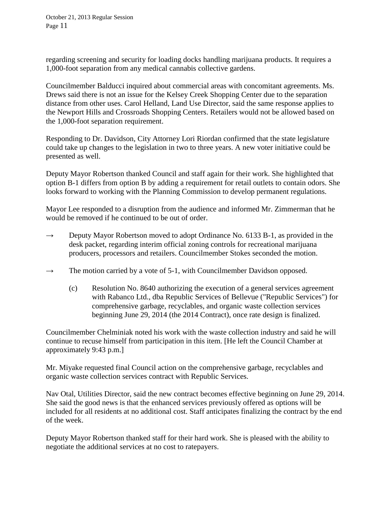regarding screening and security for loading docks handling marijuana products. It requires a 1,000-foot separation from any medical cannabis collective gardens.

Councilmember Balducci inquired about commercial areas with concomitant agreements. Ms. Drews said there is not an issue for the Kelsey Creek Shopping Center due to the separation distance from other uses. Carol Helland, Land Use Director, said the same response applies to the Newport Hills and Crossroads Shopping Centers. Retailers would not be allowed based on the 1,000-foot separation requirement.

Responding to Dr. Davidson, City Attorney Lori Riordan confirmed that the state legislature could take up changes to the legislation in two to three years. A new voter initiative could be presented as well.

Deputy Mayor Robertson thanked Council and staff again for their work. She highlighted that option B-1 differs from option B by adding a requirement for retail outlets to contain odors. She looks forward to working with the Planning Commission to develop permanent regulations.

Mayor Lee responded to a disruption from the audience and informed Mr. Zimmerman that he would be removed if he continued to be out of order.

- $\rightarrow$  Deputy Mayor Robertson moved to adopt Ordinance No. 6133 B-1, as provided in the desk packet, regarding interim official zoning controls for recreational marijuana producers, processors and retailers. Councilmember Stokes seconded the motion.
- $\rightarrow$  The motion carried by a vote of 5-1, with Councilmember Davidson opposed.
	- (c) Resolution No. 8640 authorizing the execution of a general services agreement with Rabanco Ltd., dba Republic Services of Bellevue ("Republic Services") for comprehensive garbage, recyclables, and organic waste collection services beginning June 29, 2014 (the 2014 Contract), once rate design is finalized.

Councilmember Chelminiak noted his work with the waste collection industry and said he will continue to recuse himself from participation in this item. [He left the Council Chamber at approximately 9:43 p.m.]

Mr. Miyake requested final Council action on the comprehensive garbage, recyclables and organic waste collection services contract with Republic Services.

Nav Otal, Utilities Director, said the new contract becomes effective beginning on June 29, 2014. She said the good news is that the enhanced services previously offered as options will be included for all residents at no additional cost. Staff anticipates finalizing the contract by the end of the week.

Deputy Mayor Robertson thanked staff for their hard work. She is pleased with the ability to negotiate the additional services at no cost to ratepayers.